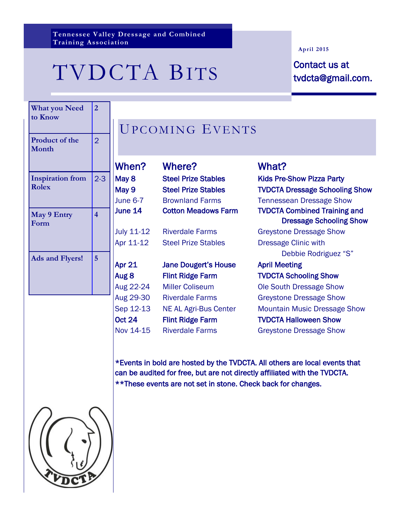**Tennessee Valley Dressage and Combined Training Association**

# TVDCTA BITS Contact us at

#### **April 2015**

tvdcta@gmail.com.

| <b>What you Need</b><br>to Know         | $\overline{2}$          | J                           |
|-----------------------------------------|-------------------------|-----------------------------|
| Product of the<br>Month                 | $\overline{2}$          |                             |
|                                         |                         | W                           |
| <b>Inspiration from</b><br><b>Rolex</b> | $2 - 3$                 | Mε<br>Mε<br>Jur             |
| May 9 Entry<br>Form                     | $\overline{\mathbf{4}}$ | Jur<br>Jul<br>Ap            |
| <b>Ads and Flyers!</b>                  | 5                       | Ap<br>Au<br>Au              |
|                                         |                         | Au<br>Se<br><b>Oc</b><br>No |

## JPCOMING EVENTS

| hen?     | Where?                              | What?                                                                 |
|----------|-------------------------------------|-----------------------------------------------------------------------|
| ay 8     | <b>Steel Prize Stables</b>          | <b>Kids Pre-Show Pizza Party</b>                                      |
| ау 9     | <b>Steel Prize Stables</b>          | <b>TVDCTA Dressage Schooling Sho</b>                                  |
| ne 6-7   | <b>Brownland Farms</b>              | <b>Tennessean Dressage Show</b>                                       |
| ne 14    | <b>Cotton Meadows Farm</b>          | <b>TVDCTA Combined Training and</b><br><b>Dressage Schooling Show</b> |
| ly 11-12 | <b>Riverdale Farms</b>              | <b>Greystone Dressage Show</b>                                        |
| r 11-12  | <b>Steel Prize Stables</b>          | <b>Dressage Clinic with</b>                                           |
|          |                                     | Debbie Rodriguez "S"                                                  |
| - 04     | الممرزم المطالب والمتحدد والمتحرمات | Andreid Administration and                                            |

## r 21 Jane Dougert's House April Meeting g 8 Flint Ridge Farm TVDCTA Schooling Show g 22-24 Miller Coliseum Ole South Dressage Show g 29-30 Riverdale Farms Greystone Dressage Show t 24 Flint Ridge Farm TVDCTA Halloween Show

ay 9 Steel Prize Stables TVDCTA Dressage Schooling Show Dressage Schooling Show Debbie Rodriguez "S" p 12-13 NE AL Agri-Bus Center Mountain Music Dressage Show

v 14-15 Riverdale Farms Greystone Dressage Show

\*Events in bold are hosted by the TVDCTA. All others are local events that can be audited for free, but are not directly affiliated with the TVDCTA. \*\*These events are not set in stone. Check back for changes.

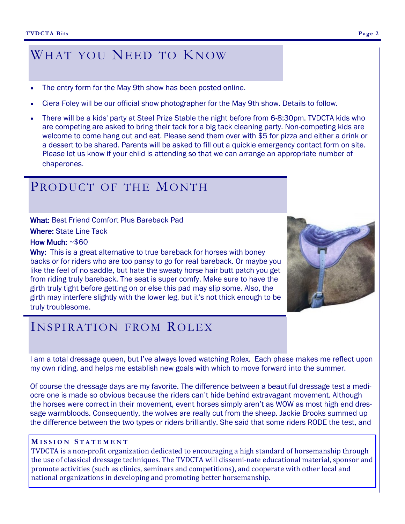## WHAT YOU NEED TO KNOW

- The entry form for the May 9th show has been posted online.
- Ciera Foley will be our official show photographer for the May 9th show. Details to follow.
- There will be a kids' party at Steel Prize Stable the night before from 6-8:30pm. TVDCTA kids who are competing are asked to bring their tack for a big tack cleaning party. Non-competing kids are welcome to come hang out and eat. Please send them over with \$5 for pizza and either a drink or a dessert to be shared. Parents will be asked to fill out a quickie emergency contact form on site. Please let us know if your child is attending so that we can arrange an appropriate number of chaperones.

### PRODUCT OF THE MONTH

What: Best Friend Comfort Plus Bareback Pad Where: State Line Tack

How Much: ~\$60

Why: This is a great alternative to true bareback for horses with boney backs or for riders who are too pansy to go for real bareback. Or maybe you like the feel of no saddle, but hate the sweaty horse hair butt patch you get from riding truly bareback. The seat is super comfy. Make sure to have the girth truly tight before getting on or else this pad may slip some. Also, the girth may interfere slightly with the lower leg, but it's not thick enough to be truly troublesome.



## INSPIRATION FROM ROLEX

I am a total dressage queen, but I've always loved watching Rolex. Each phase makes me reflect upon my own riding, and helps me establish new goals with which to move forward into the summer.

Of course the dressage days are my favorite. The difference between a beautiful dressage test a mediocre one is made so obvious because the riders can't hide behind extravagant movement. Although the horses were correct in their movement, event horses simply aren't as WOW as most high end dressage warmbloods. Consequently, the wolves are really cut from the sheep. Jackie Brooks summed up the difference between the two types or riders brilliantly. She said that some riders RODE the test, and

#### **M I S S I O N S T A T E M E N T**

TVDCTA is a non-profit organization dedicated to encouraging a high standard of horsemanship through the use of classical dressage techniques. The TVDCTA will dissemi-nate educational material, sponsor and promote activities (such as clinics, seminars and competitions), and cooperate with other local and national organizations in developing and promoting better horsemanship.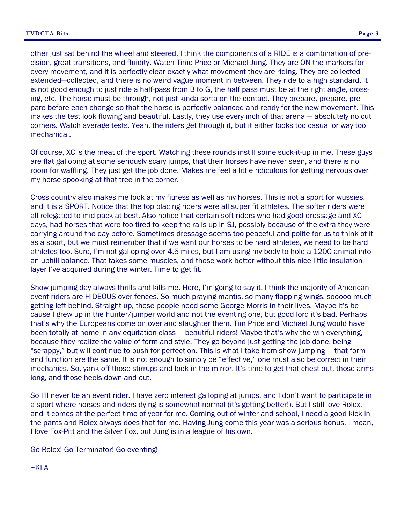other just sat behind the wheel and steered. I think the components of a RIDE is a combination of precision, great transitions, and fluidity. Watch Time Price or Michael Jung. They are ON the markers for every movement, and it is perfectly clear exactly what movement they are riding. They are collected extended—collected, and there is no weird vague moment in between. They ride to a high standard. It is not good enough to just ride a half-pass from B to G, the half pass must be at the right angle, crossing, etc. The horse must be through, not just kinda sorta on the contact. They prepare, prepare, pre-

pare before each change so that the horse is perfectly balanced and ready for the new movement. This makes the test look flowing and beautiful. Lastly, they use every inch of that arena — absolutely no cut corners. Watch average tests. Yeah, the riders get through it, but it either looks too casual or way too mechanical.

Of course, XC is the meat of the sport. Watching these rounds instill some suck-it-up in me. These guys are flat galloping at some seriously scary jumps, that their horses have never seen, and there is no room for waffling. They just get the job done. Makes me feel a little ridiculous for getting nervous over my horse spooking at that tree in the corner.

Cross country also makes me look at my fitness as well as my horses. This is not a sport for wussies, and it is a SPORT. Notice that the top placing riders were all super fit athletes. The softer riders were all relegated to mid-pack at best. Also notice that certain soft riders who had good dressage and XC days, had horses that were too tired to keep the rails up in SJ, possibly because of the extra they were carrying around the day before. Sometimes dressage seems too peaceful and polite for us to think of it as a sport, but we must remember that if we want our horses to be hard athletes, we need to be hard athletes too. Sure, I'm not galloping over 4.5 miles, but I am using my body to hold a 1200 animal into an uphill balance. That takes some muscles, and those work better without this nice little insulation layer I've acquired during the winter. Time to get fit.

Show jumping day always thrills and kills me. Here, I'm going to say it. I think the majority of American event riders are HIDEOUS over fences. So much praying mantis, so many flapping wings, sooooo much getting left behind. Straight up, these people need some George Morris in their lives. Maybe it's because I grew up in the hunter/jumper world and not the eventing one, but good lord it's bad. Perhaps that's why the Europeans come on over and slaughter them. Tim Price and Michael Jung would have been totally at home in any equitation class — beautiful riders! Maybe that's why the win everything, because they realize the value of form and style. They go beyond just getting the job done, being "scrappy," but will continue to push for perfection. This is what I take from show jumping — that form and function are the same. It is not enough to simply be "effective," one must also be correct in their mechanics. So, yank off those stirrups and look in the mirror. It's time to get that chest out, those arms long, and those heels down and out.

So I'll never be an event rider. I have zero interest galloping at jumps, and I don't want to participate in a sport where horses and riders dying is somewhat normal (it's getting better!). But I still love Rolex, and it comes at the perfect time of year for me. Coming out of winter and school, I need a good kick in the pants and Rolex always does that for me. Having Jung come this year was a serious bonus. I mean, I love Fox-Pitt and the Silver Fox, but Jung is in a league of his own.

Go Rolex! Go Terminator! Go eventing!

 $~\sim$ KLA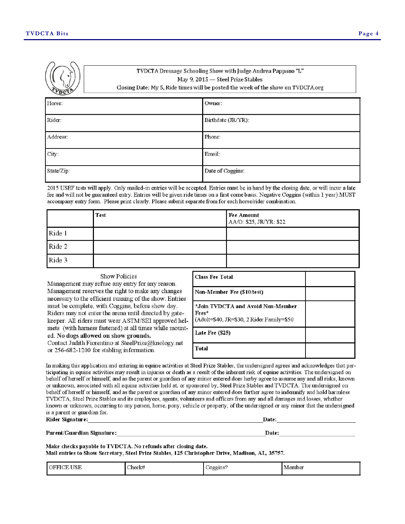|            | "TVDCTA Dressage Schooling Show with Judge Andrea Pappano "L"<br>May 9, 2015 - Steel Prize Stables<br>Closing Date: My 5, Ride times will be posted the week of the show on TVDCTA.org |                    |
|------------|----------------------------------------------------------------------------------------------------------------------------------------------------------------------------------------|--------------------|
| Horse:     |                                                                                                                                                                                        | Owner:             |
| Rider:     |                                                                                                                                                                                        | Birthdate (JR/YR): |
| Address:   |                                                                                                                                                                                        | Phone:             |
| City:      |                                                                                                                                                                                        | Email:             |
| State/Zip: |                                                                                                                                                                                        | Date of Coggins:   |

2015 USEF tests will apply. Only mailed-in entries will be accepted. Entries must be in hand by the closing date, or will incur a late fee and will not be guaranteed entry. Entries will be given ride times on a first come basis. Negative Coggins (within 1 year) MUST accompany entry form. Please print clearly. Please submit separate from for each horse/rider combination.

|        | <b>Test</b> | <b>Fee Amount</b><br>AA/O: \$25, JR/YR: \$22 |
|--------|-------------|----------------------------------------------|
| Ride 1 |             |                                              |
| Ride 2 |             |                                              |
| Ride 3 |             |                                              |

| Show Policies<br>Management may refuse any entry for any reason.                                                                                                                                                                                                                                                                                                                                                                                                                        | <b>Class Fee Total</b>                                                                  |  |
|-----------------------------------------------------------------------------------------------------------------------------------------------------------------------------------------------------------------------------------------------------------------------------------------------------------------------------------------------------------------------------------------------------------------------------------------------------------------------------------------|-----------------------------------------------------------------------------------------|--|
| Management reserves the right to make any changes<br>necessary to the efficient running of the show. Entries<br>must be complete, with Coggins, before show day.<br>Riders may not enter the arena until directed by gate-<br>keeper. All riders must wear ASTM/SEI approved hel-<br>mets (with harness fastened) at all times while mount-<br>ed. No dogs allowed on show grounds.<br>Contact Judith Fiorentino at SteelPrize@knology.net<br>or 256-682-1200 for stabling information. | Non-Member Fee (\$10/test)                                                              |  |
|                                                                                                                                                                                                                                                                                                                                                                                                                                                                                         | *Join TVDCTA and Avoid Non-Member<br>Fees*<br>(Adult=\$40, JR=\$30, 2 Rider Family=\$50 |  |
|                                                                                                                                                                                                                                                                                                                                                                                                                                                                                         | Late Fee (\$25)                                                                         |  |
|                                                                                                                                                                                                                                                                                                                                                                                                                                                                                         | Total                                                                                   |  |

In making this application and entering in equine activities at Steel Prize Stables, the undersigned agrees and acknowledges that participating in equine activities may result in injuries or death as a result of the inherent risk of equine activities. The undersigned on behalf of herself or himself, and as the parent or guardian of any minor entered does herby agree to assume any and all risks, known or unknown, associated with all equine activities held at, or sponsored by, Steel Prize Stables and TVDCTA. The undersigned on behalf of herself or himself, and as the parent or guardian of any minor entered does further agree to indemnify and hold harmless TVDCTA, Steel Prize Stables and its employees, agents, volunteers and officers from any and all damages and losses, whether known or unknown, occurring to any person, horse, pony, vehicle or property, of the undersigned or any minor that the undersigned is a parent or guardian for.

Rider Signature:

Date:

Parent/Guardian Signature:

Make checks payable to TVDCTA. No refunds after closing date. Mail entries to Show Secretary, Steel Prize Stables, 125 Christopher Drive, Madison, AL, 35757.

| <b>TTCLE</b><br><b>OFFICL</b><br>USE<br>도 있어 그렇게 봐.<br>------ | Check#<br>452333 | ooguus.<br>$\sim$ | i Member |
|---------------------------------------------------------------|------------------|-------------------|----------|
|---------------------------------------------------------------|------------------|-------------------|----------|